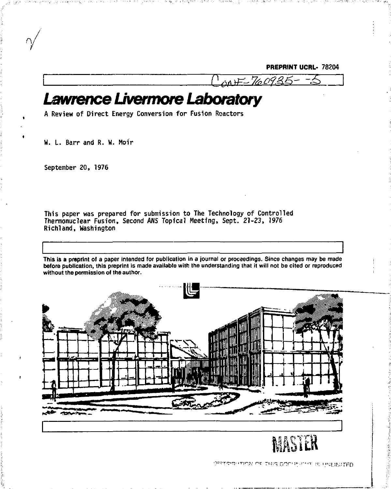**PREPRINT UCRL- 78204** 

CONF-760935-

*Lawrence Uvermore Laboratory* 

**A Review of Direct Energy Conversion for Fusion Reactors** 

**W. L. Barr and R. W. Hoir** 

**September 20, 1976** 

 $\gamma$ 

**This paper was prepared for submission to The Technology of Controlled Thermonuclear Fusion, Second ANS Topical Meeting, Sept. 21-23, 1976 Richland, Washington** 

**This is a preprint of a paper intended for publication in a journal or proceedings. Since changes may be made before publication, this preprint Is made available with the understanding that it will not be cited or reproduced without the permission of the author.** 



Winside with the rest Dublished is initiated.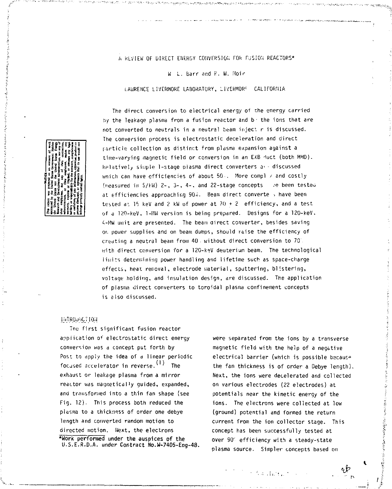A REVIEW OF DIRECT ENERGY CONVERSION FOR FUSION REACTORS\*

W L. barr and R. W. Hoir

LAURENCE LIVERMORE LABORATORY, LiVERMOR1 CALIFORNIA

The direct conversion to electrical energy of the energy carried by the leakage plasma from a fusion reactor and b' the ions that are not converted to neutrals in a neutral team inject r is discussed. The conversion process is electrostatic deceleration and direct particle collection as distinct from plasma expansion against a time-varying magnetic field or conversion in an EXB duct (both MHD). Relatively sii.iple 1-stage plasma direct converters a- - discussed wnich can have efficiencies of about 50 . More compl / and costly li'ieasured in S/kW) 2-, 3-, 4-, and 22-stage concepts *:e* been tester at efficiencies approaching 90%. Beam direct converte > have been tested at IS keV and 2 kW of power at 70 + 2 efficiency, and a test of a 120-keV, 1-MU version is being prepared. Designs for a 120-keV. 4-MW unit are presented. The beam airect converter, besides saving or; power supplies and on beam dumps, should raise the efficiency of creating a neutral beam from 40 without direct conversion to 70 with direct conversion for a 120-keV deuterium beam. The technological limits determining power handling and lifetime such as space-charge effects, heat removal, electrode material, sputtering, blistering, voltage holding, and insulation design, are discussed. The application of plasma direct converters to toroidal plasma confinement concepts is also discussed.

## INTRO.J-JCT I0;j

Tne first significant fusion reactor application of electrostatic direct energy conversion was a concept put forth by Post to dpply the idea of a linear periodic focused accelerator in reverse.  $(1)$  The exhaust or leakage plasma from a mirror reactor was magnetically guided, expanded, and transformed into a thin fan shape {see Fig. 12). This process both reduced the plasma to a thickness of order one debye length and converted random motion to directed motion. Next, the electrons **\*Work performed under the auspices of the**  U.S.E.R.D.A. under Contract No.W-7405-Eng-48.

were separated from the ions by a transverse magnetic field with the help of a negative electrical barrier (which is possible becaus» the fan thickness is of order a Debye length). Next, the ions were decelerated and collected on various electrodes (22 electrodes) at potentials near the kinetic energy of the ions. The electrons were collected at low (ground) potential and formed the return current from the ion collector stage. This concept has been successfully tested at over 90' efficiency with a steady-state plasma source. Simpler concepts based on

*&* 



The Cauding :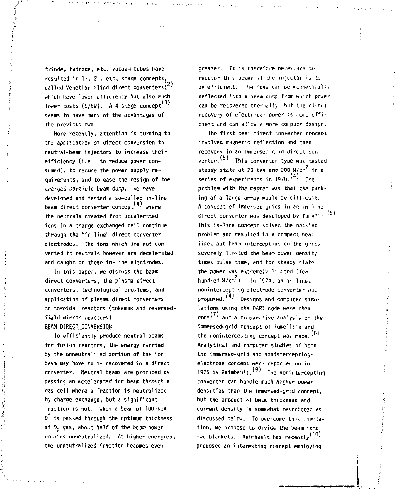called Venetian blind direct converters,  $\binom{2}{3}$ which have lower efficiency but also much which have lower efficiency but also much<br>lower costs (S/kW). A 4-stage concept<sup>(3)</sup> triode, tetrode, etc. vacuum tubes have resulted in 1-, 2-, etc. stage concepts, seems to have many of the advantages of the previous two.

More recently, attention is turning to the application of direct conversion to neutral-beam injectors to increase their efficiency (i.e. to reduce power consumed), to reduce the power supply requirements, and to ease the design of the charged particle beam dump. We have developed and tested a so-called in-line beam direct converter concept<sup>\"/</sup> where the neutrals created from accelerated ions in a charge-exchanged cell continue through the "in-line" direct converter electrodes. The ions which are not converted to neutrals however are decelerated and caught on these in-line electrodes.

In this paper, we discuss the beam direct converters, the plasma direct converters, technological problems, and application of plasma direct converters to toroidal reactors (tokamak and reversedfield mirror reactors).

## BEAM DIRECT CONVERSION

To efficiently produce neutral beams for fusion reactors, the energy carried by the unneutrali.ed portion of the ion beam may have to be recovered in a direct converter. Neutral beams are produced by passing an accelerated ion beam through a gas cell where a fraction is neutralized by charge exchange, but a significant fraction is not. When a beam of 100-keV  $D^+$  is passed through the optimum thickness of  $D_2$  gas, about half of the beam power remains unneutralized. At higher energies, the unneutralized fraction becomes even

greater. It is therefore necessary to recover this power if the injector is to be efficient. The ions can be magnetically deflected into a beam dump from wnich power can be recovered thermally, but the direct recovery of electrical power is more efficient and can allow a nore compact design.

The first bear direct converter concept involved magnetic deflection and then recovery in an immersed-orid direct converter. <sup>(5)</sup> This converter type was tested steady state at 20 keV and 200 W/cm<sup>e</sup> in a series of experiments in  $1970$ .  $(4)$  The problem with the magnet was that the packing of a large array would be difficult. A concept of immersed grids in an in-line direct converter was developed by Fumelli. This in-line concept solved the packing problem and resulted in a compact beam line, but beam interception on the grids severely limited the beam power density times pulse time, and for steady state the power was extremely limited (few hundred W/cm **In 1974, an in-line. nonintercepting electrode converter was proposed. (4) Designs and computer Simula)**  the nonintercepting concept was made. lations using the DART code were then done''' and a comparative analysis of the immersed-grid concept of Fumelli's and Analytical and computer studies of both the immersed-grid and noninterceptingelectrode concept were reported on in 1975 by Raimbault.  $(9)$  The nonintercepting converter can handle much higher power densities than the immersed-grid concept, **but** the product of beam thickness and current density is somewhat restricted as discussed below. To overcome this limitation, we propose to divide the beam into two blankets. Raimbault has recently  $(10)$ proposed an interesting concept employing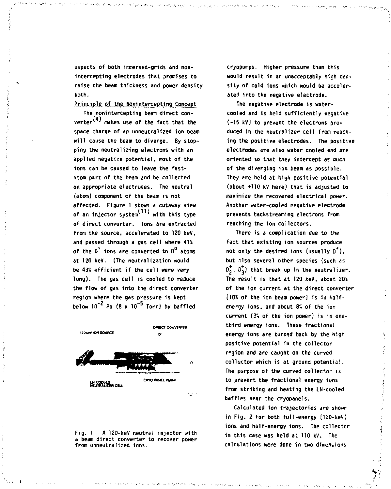**aspects of both immersed-grids and nonintercepting electrodes that promises to raise the beam thickness and power density both.** 

Principle of the Nonintercepting Concept

**The nonintercepting beam direct con- (41 verter1 makes use of the fact that the space charge of an unneutralized ion beam will cause the beam to diverge. By stopping the neutralizing electrons with an applied negative potential, most of the ions can be caused to leave the fastatom part of the beam and be collected on appropriate electrodes. The neutral (atom) component of the beam is not affected. Figure 1 shows a cutaway view of an injector system1 ' with this type of direct converter, ions are extracted from the source, accelerated to 120 keV, and passed through a gas cell where** *1\%*  **of the 0\* ions are converted to D° atoms at 120 keV. (The neutralization would be 43\* efficient if the cell were** *mry*  **long). The gas cell is cooled to reduce the flow of gas into the direct converter region where the gas pressure is kept below 10"<sup>2</sup> Pa (8 x 10"5 Torr) by baffled** 



**Fig. 1 A 120-keV neutral injector with a beam direct converter to recover power from unneutralized ions.** 

**cryopumps. Higher pressure than this would result in an unacceptably high density of cold ions which would be accelerated into the negative electrode.** 

**The negative electrode is watercooled and is held sufficiently negative (-15 kV) to prevent the electrons produced in the neutralizer cell from reaching the positive electrodes. The positive electrodes are also water cooled and are oriented so that they intercept as much of the diverging ion beam as possible. They** *ire* **held at high positive potential (about +110 kV here) that is adjusted to maximize the recovered electrical power. Another water-cooled negative electrode prevents backstreaming electrons from reaching the ion collectors.** 

**There is a complication due to the fact that existing ion sources produce not only the desired ions (usually 0\*), but "lso several other species (such as**   $\mathbf{0}_2^{\dagger}$ ,  $\mathbf{0}_3^{\dagger}$ ) that break up in the neutralizer. The result is that at 120 keV, about 20% **of the ion current at the direct converter (10S of the ion beam power} is in halfenergy ions, and about** *8%* **of the ion current (3\* of the ion power) is in onethird energy ions. These fractional energy ions are turned back by the high positive potential in the collector region and are caught on the curved collector which is at ground potential. The purpose of the curved collector is to prevent the fractional energy ions from striking and heating the LN-cooled baffles near the cryopanels.** 

**Calculated Ion trajectories are shown in Fig. 2 for both full-energy (120-keV) ions and half-energy ions. The collector in this case was held at 110 kV. The calculations were done in two dimensions**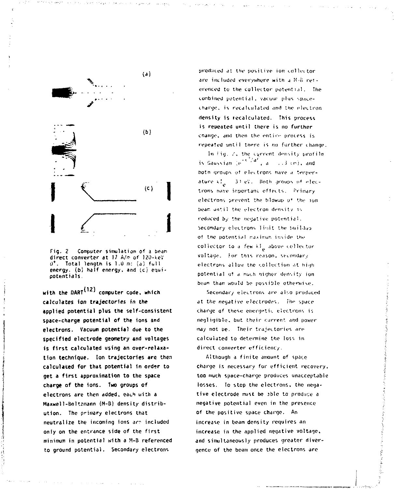

**Fig.** 2 **Computer simulation** of a bean **direct converter at** !7 **A/\*** of !20-».eY L)<sup>+</sup>. **Total length** is **1.0** m: (a) full energy, (b) half energy, and {c} equi-<br>potentials.

**with the DART**<sup>(12)</sup> computer code, which **calculates ion trajectories in the applied potential plus the self-consistent space-charge potential of the ions and electrons. Vacuum potential due to the specified electrode geometry and voltages is first calculated using an over-relaxation technique. Ion trajectories are then calculated for that potential in** *order* **to get a first approximation to the space charge of the ions. Two groups of electrons are then added,** each with a Maxwell**-Boltzmann (H-B)** density **distribution.** The **primary electrons that neutralize the incoming ions** *&r?* **included only on the entrance side of the first**  minimum in potential **with** a H-B referenced **to ground potential. Secondary electrons** 

produced at the positive ion collector. are included everywhere with a 8-8 referenced to the collector potential. The cumbined potential, vacuur plus spacecnargo. is recalculated .md the electron **density is recalculated. This** process **is repeated until there is no further**  cnange, and then the entire process is repeated until there is no further change.

In  $\overline{f}$ ig.  $\overline{f}$ , the current density profile is Gaussian (e<sup>re cyar</sup>, a *i*,i*3* (m), and both groups of electrons have a temperature  $\mathcal{U}_n = 3!$  eV. Both groups  $\mathfrak{gl}$  electrons have important effects. Primary electrons prevent the blowup u" the ion beam until the electron density is reduced *by* the negative potent ia1.. Secondary electrons limit the buildup of the potential raximum invide the collector to a few kl<sub>e</sub> above collector .<br>. voltage. For this reason, secondary electrons allow the collection at high potential of a much higher density ion beam than would lie possible otherwise.

Secondary electrons are also produced at the negative electrodes. Ihe space charge of these energetic electrons is negligible, out their *c-jrrent and* power may not oe. Their trajectories are calculated to determine the loss in direct converter efficiency.

/ilthough a finite amount of space charge is necessary for efficient recovery, too much space-charge produces unacceptable losses. To stop the electrons, the negative electrode imist be 3ble to produce *a*  negative potential even in the presence of the positive space charge. An increase in beam density requires an increase in the applied negative **voltage,**  and simultaneously produces greater divergence of the beam once the electrons are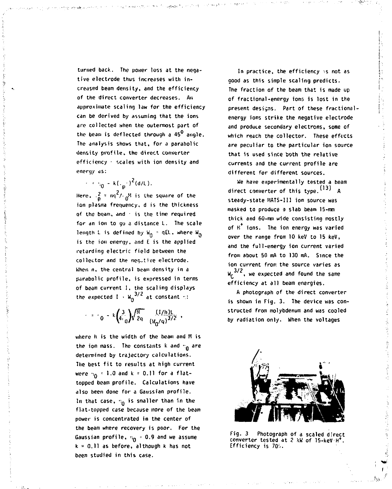**turned back. The power loss at the negative electrode thus increases with increased beam density, and the efficiency of the direct converter decreases. An approximate scaling law for the efficiency can be derived by assuming that the ions are collected when the outermost part of the beam is deflected through a 45 angle. The analysis shows that, for a parabolic density profile, the direct converter efficiency • scales with ion density and energy as:** 

 $\cdot$   $\cdot$   $\cdot$   $\frac{1}{0}$  - k(.<sub>p</sub><sup>2</sup> (d/L). Here.  $\frac{2}{n}$  =  $nq^2/\frac{1}{n}$ <sup>N</sup> is the square of the ion plasma frequency, d is the thickness of the beam, and  $\leq$  is the time required for an ion to go a distance L. The scale length L is defined by  $W_0 = qE L$ , where  $W_0$ is the ion energy, and E is the applied retarding electric field between the collector and the negutive electrode. **Ghen n. the central beam density in a** Barabolic profile, is expressed in terms **parabolic profile, is expressed in terms of beam current 1. the scaling displays**  the expected  $I + w_0^{3/2}$  at constant  $\cdot$ :

$$
= 0 - k \binom{3}{4} \sqrt{\frac{M}{2q}} \frac{(1/h)!}{(W_0/q)^{3/2}} ,
$$

**where h is the width of the beam and H is**  the ion mass. The constants k and  $n_0$  are **determined by trajectory calculations. The best fit to results at high current**  were  $v_0 = 1.0$  and  $k = 0.11$  for a flat**topped beam profile. Calculations have also been done for a Gaussian profile. In that case,** *-,0* **is smaller than in the flat-topped case because more of the beam power is concentrated in the center of the beam where recovery is poor. For the**  Gaussian profile,  $v_0 = 0.9$  and we assume **k \* 0.11 as before, although k has not been studied in this case.** 

**In practice, the efficiency** *••%* **not as good as this simple scaling predicts. The fraction of the beam that is made up of fractional-energy ions is lost in the present designs. Part of these fractionalenergy ions strike the negative electrode and produce secondary electrons, some of which reach the collector. These effects**  *are* **peculiar to the particular ion source that is used since both the relative currents and the current profile are different for different sources.** 

**We have experimentally tested a beam**  direct converter of this type.  $(13)$  A **steady-state MATS-II1 ion source was masked to produce a slab beam 15-ran thick and 60-mm wide consisting rosily of H ions. The ion energy was varied over the range from 10 keV to 15 keV, and the full-energy ion current varied from about 50 mA to 130 mA. 5ince the ion current from the source varies as**  W<sub>r</sub> 3/2, we expected and found the same  $efficiency$  at all beam energies.

A photograph of the direct converter is shown in Fig. 3. The device was constructed from molvbdenum and was cooled by radiation only. When the voltages



**Fig. 3 Photograph of a scaled direct**  converter tested at 2 kW of 15-keV H<sup>\*</sup>. **Efficiency is 70i.**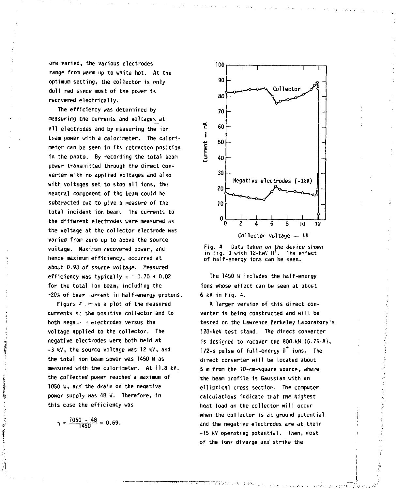**are varied, the various electrodes range from warm up to white hot. At the optimum setting, the collector is only dull red since most of the power is recovered electrically.** 

**The efficiency was determined by measuring the currents and voltages at all electrodes and by measuring the ion tsam power with a calorimeter. The calorimeter can be seen in its retracted position in the photo. By recording the total beam power transmitted through the direct converter with no applied voltages and also with voltages set to stop all ions, th<? neutral component of the beam could be subtracted out to give a measure of the total incident ior, beam. The currents to the different electrodes were measured as the voltage at the collector electrode was varied from zero up to above the source voltage. Maximum recovered power, and hence maximum efficiency, occurred at about 0.98 of source voltage. Measured efficiency was typically n = 0.70 <sup>+</sup> 0.02 for the total ion beam, including the -20\* of bean- \_u>'»ent in half-energy protons.** 

**Figurs \*** *•>•• t%* **a plot of the measured currents t.: ihe positive collector and to both nega--** *:* **electrodes versus the voltage applied to the collector. The negative electrodes were both held at -3 kV, the source voltage was 12 kV, and the total ion beam power was 1150 W as measured with the calorimeter. At 11.8 kV, the collected power reached a maximum of 1050 W, and the drain on the negative power supply was 48 W. Therefore, in this case the efficiency was** 

 $\frac{1050 - 48}{1450} = 0.69$ .





**The 1450 H includes the half-energy ions whose effect can be seen at about 6 kV in Fig. 4.** 

**A larger version of this direct converter is being constructed and will be tested on the Lawrence Berkeley Laboratory's 120-keV test stand. The direct converter is designed to recover the 800-kW (6.75-A), 1/2-s pulse of full-energy 0 ions. The direct converter will be located about 5 m from the 10-cnt-square source, where the beam profile is Gaussian with an elliptical cross section. The computer calculations indicate that the highest heat load on the collector will occur when the collector is at; ground potential**  and the negative electrodes are at their **-15 kV operating potential. Then, most of the ions diverge and strike the**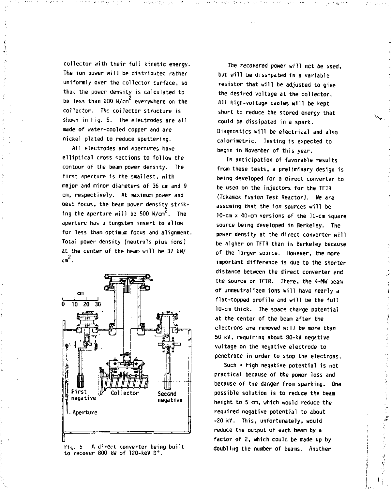**collector with their full kinetic energy. The ion power will be distributed rather uniformly over the collector surface, so that the power density is calculated to 2 be less than 200 W/cm everywhere on the collector. The collector structure is shown in Fig. 5. The electrodes are all made of water-cooled copper and are nickel plated to reduce sputtering.** 

**All electrodes and apertures have elliptical cross sections to follow the contour of the beam power density. The first aperture is the smallest, with major and minor diameters of 36 cm and 9 cm, respectively. At maximum power and best focus, the beam power density strik**ing the aperture will be 500 W/cm<sup>2</sup>. The **aperture has a tungsten insert to allow for less than optimum focus and alignment. Total power density (neutrals plus ions) at the center of the beam will be 37 kW/**   $cm<sup>2</sup>$  .



Fig. 5 A direct converter being built **Fiiy. 5 A direct, converter being built to recover 800 kW of 120-keV D <sup>+</sup> .** 

**The recovered power will net be used, but will be dissipated in a variable resistor that, will be adjusted to give the desired voltage at the collector. All high-voltage caoles will be kept short to reduce the stored energy that could be dissipated in a spark. Diagnostics will be electrical and also calorimetric. Testing is expected to begin in November of this year.** 

**In anticipation of favorable results from these tests, a preliminary design is being developed for a direct converter to be used on the injectors for the TFTR (Tckamak Fusion Test Reactor). He are assuming that the ion sources will be 10-cm x 40-cm versions of the 10-cm square source being developed in Berkeley. The power density at the direct converter will be higher on TFTR than in Berkeley because of the larger source. However, the more important difference is due to the shorter distance between the direct converter end the source on TFTR. There, the 4-HW beam of unneutralizea ions will have nearly a flat-topped profile and will be the full 10-cm thick. The space charge potential at the center of the beam after the electrons are removed will be more than 50 kV, requiring about 80-kV negative voltage on the negative electrode to penetrate in order to stop the electrons.** 

**Such \* high negative potential is not practical because of the power loss and because of the danger from sparking. One possible solution is to reduce the beam height to 5 cm, which would reduce the required negative potential to about -20 kV. This, unfortunately, would reduce the output of each beam by a factor of 2, which could be made up by doubling the number of beams. Another**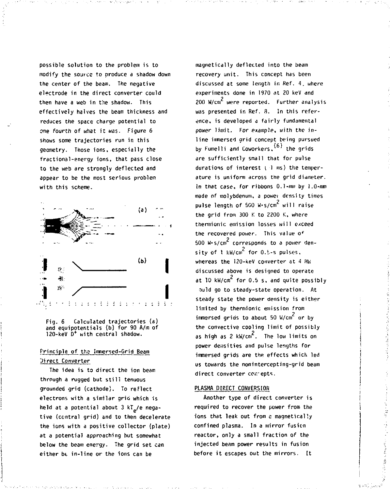**possible solution to the problem is to modify the source to produce a shadow down the center of the beam. The negative electrode in the direct converter could then have a web in the shadow. This effectively halves the beam thickness and reduces the space charge potential to one fourth of what it was. Figure 6 shows some trajectories run in this geometry. Those ions, especially the fractional-energy ions, that pass close to the web** *ire* **strongly deflected and appear to be the most serious problem with this scheme.** 



**Fig. 6 Calculated trajectories (a) and equipotentials (b) for 90 A/m of**  120-keV D<sup>+</sup> with central shadow.

## Principle of the Immersed-Grid Beam **Direct Converter**

**The idea is to direct the ion beam through a rugged but sti11 tenuous grounded grid (cathode). To reFlect electrons with a similar grid which is**  held at a potential about 3 kT<sub>e</sub>/e nega**tive (central grid) and to then decelerate the ions with a positive collector (plate) at a potential approaching but somewhat below the beam energy. The grid set can either bt in-line or the ions can be** 

**magnetically deflected into the beam recovery unit. This concept has been discussed at some length in Ref. 4. where experiments done in 1970 at 20 keV and 2 200 W/cm were reported. Further analysis was presented in Ref. 8. In this reference, is developed a fairly fundamental power limit. For example, with the inline immersed grid concept being pursued**  by Fumelli and Coworkers, <sup>(6)</sup> the grids *are* **sufficiently small that for pulse**  durations of interest ( 1 ms) the temper**ature is uniform across tne grid diameter, in that case, for ribbons 0.1-imi by 1.0-mm made of molybdenum, a powev density times 2 pulse length of 500 W-s/cm will raise the grid from 300 K to 2200 K, where thermionic emission losses will exceed the recovered power. This value o<sup>f</sup>** 500 W-s/cm<sup>2</sup> corresponds to a power den $s$ *itv*  $\sigma$ <sup>f</sup> l  $k$ W/cm<sup>2</sup> for 0.5-5 pulses, whereas the 120-keV converter at 4 MW **whereas the !20-keV converter at 4 Hi-; discussed above is designed to operate**  at 10 kW/cm<sup>2</sup> for 0.5 s, and quite possibly **ould go to steady-state operation. At steady state the power density is either limited by thermionic emission from**  immersed grids to about 50 W/cm<sup>2</sup> or by **the convective cooling limit of possibly 2 as high as 2 kW/cm . The low limits on power densities and pulse lengths for immersed grids are the effects which led us towards the nonintercepting-grid beam**  direct converter conrepts.

#### **PLASMA DIRECT CONVERSION**

**Another type of direct converter is required to recover the power from the ions that leak out from e magnetically confined plasma. In a mirror fusicn reactor, only a small fraction of the injected beam power results in fusion before it escapes out the mirrors. It** 

**Services** Conserva-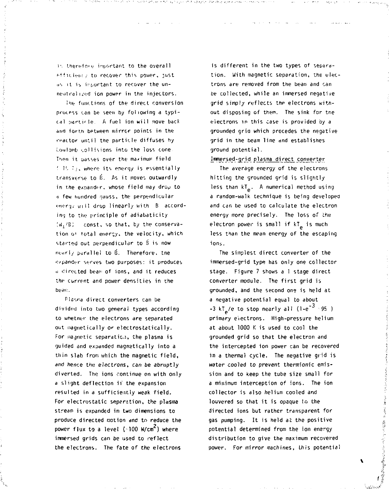is therefore important to the overall Afficient: to recover this power, just us it is inpurtant to recover the unneutralized ion power in the injectors.

The functions of the direct conversion process can be seen by following a typical particle. A fuel ion will move back and forth between mirror points in the reactor until the particle diffuses hy i'.ouloinb '.oil is ions into the loss cone Then it passes over the maximum field ! IS T<sub>1</sub>, where its energy is essentially transverse to B. As it moves outwardly in the expander, whose field may drop to -i few hundred -jauss, the perpendicular '•fiery; will drop linearly with B according to the principle of adiabaticity !W:'BJ const, so that, by the conservation o' total energy, the velocity, which started out perpendicular to B is now nearly parallel to  $\vec{\theta}$ . Therefore, the o/pander serves two purposes: it produces  $a$  directed beam of ions, and it reduces the current and power densities in the be an:

Plasma direct converters can be divided into two general types according to whetner the electrons are separated out magnetically or electrostatically. For magnetic separatic.i, the plasma is guided and expanded magnetically into a thin slab from which the magnetic field, and hence the electrons, can be abruptly diverted. The ions continue on with only a slight deflection if the expansion resulted in a sufficiently weak field. For electrostatic separation, the plasma stream is expanded in two dimensions to produce directed notion and to reduce the power flux to a level (~100 W/cm<sup>2</sup>) where immersed grids can be used to reflect the electrons. The fate of the electrons

is different in the two types of separation. With magnetic separation, the electrons are removed from the beam and can be collected, while an immersed negative grid simply reflects the electrons without disposing of them. The sink for tne electrons in this case is provided *by* a grounded grio which precedes the negative grid in the beam line and establishes ground potential.

I\_rnmer\_sed-c[r\_id plasma direct *converter* 

The average energy of the electrons hitting the grounded grid is slightly less than kT<sub>e</sub>. A numerical method using a random-walk technique is being developed and can be used to calculate the electron energy more precisely. The loss of the electron power is small if kT<sub>e</sub> is much less than the mean energy of the escaping ions.

The simplest direct converter of the immersed-grid type has only one collector stage. Figure 7 shows a 1 stage direct converter module. The first grid is grounded, and the second one is held at a negative potential equal to about -3 kT\_/e to stop nearly all (l-e<sup>-3</sup> 95 ) primary electrons. High-pressure helium at about 1000 K is used to cool the grounded grid so that the electron and the intercepted ion power can be recovered in a thermal cycle. The negative grid is water cooled to prevent thermionic emission and to keep the tube size small for a minimum interception of ions. The ion collector is also helium cooled and louvered so that it is opaque to the directed ions but rather transparent for gas pumping. It is held at the positive potential determined from the ion energy distribution to give the maximum recovered power. For mirror machines, this potential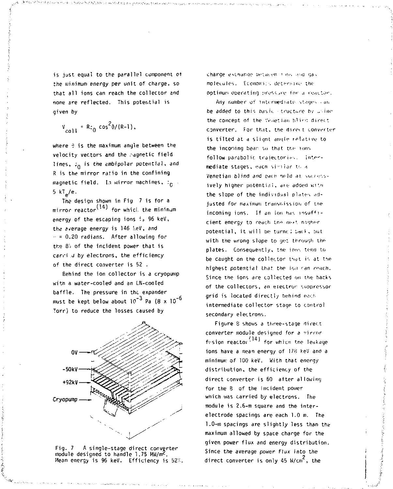is just equal to the parallel component ot the minimum energy per unit of charge, so that all ions can reach the collector and none are reflected. This potential is given by

$$
V_{coll} = Rz_0 \cos^2{\theta}/(R-1)
$$
,

where  $\theta$  is the maximum angle between the velocity vectors and the ragnetic field lines,  $\dot{x}_0$  is the ambipolar potential, and R is the mirror ratio in the confining magnetic field. In mirror machines,  $:_{\mathsf{C}}$  $5$  kT<sub>a</sub>/e.

The design shown in Fig 7 is for a mirror reactor<sup>(14)</sup> for whicl. the minimum energy of the escaping ions  $i<sub>s</sub>$  96 keV, the average energy is 146 MeV, and  $- = 0.20$  radians. After allowing for the *Qc* of the incident power that is carri J by electrons, the efficiency of the direct converter is 52 .

Behind the ion collector is a cryopunip with a water-cooled and an LN-cooled baffle. The pressure in the expander must be kept below about  $10^{-3}$  Pa  $(8 \times 10^{-5})$ Torr) to reduce the losses caused by





charge exchange between *\* ins* and gas molecules, Economics determine the optimum operating pressure for a reactor.

Any number of intermediate stages can be added to this basic · tructure by uning the concent of the Venetian blird direct converter. For that, the direct converter is tilted at a slignt angle relative to the incoming beam so that the tons. follow parabolic trajectories. Intermediate stages, each similar to a Venetian blind and each held at successively higher potential, are added with the slope of the individual plates adjusted for maximum transmission of the incoming ions. If an ion has insufficient energy to reach the next nigherpotential, it will be turnc: back, but with the wrong slope to get through the plates. Consequently, tne ions tend to be caught on the collector that is at the highest potential that the ion can reach Since the ions are collected on the hacks of the collectors, an electron suppressor grid is located directly behind each intermediate collector stage to control secondary electrons.

Figure 3 shows a three-stage direct converter module designed for a rirror *1* 14 1 frsion reactov ' for whicn tne leakage ions have a mean energy of 178 keV and a minimum of 100 keV. With that energy distribution, the efficiency of the direct converter is 60 after allowing for the 8 of the incident power which was carried by electrons. The module is 2,6-m square and the interelectrode spacings are each 1.0 m. The 1.0-m spacings are slightly less than the maximum allowed by space charge for the given power flux and energy distribution. Since the average power flux into the direct converter is only 45 W/cm<sup>2</sup>, the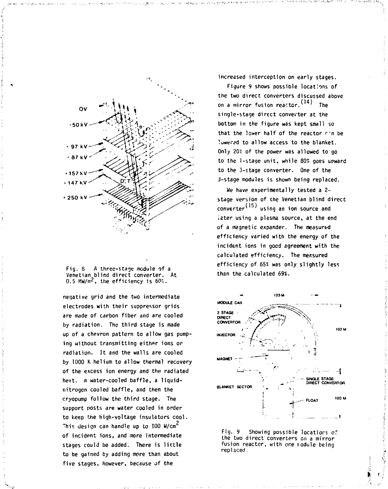



**negative grid and the two intermediate electrodes with their suppressor grids are made of carbon fiber and are cooled by radiation. The third stage is made up of a chevron pattern to allow gas pumping without transmitting either ions or radiation. It and the walls are cooled by 1000 K helium to allow thermal recovery of the excess ion energy and the radiated heat. A water-cooled baffle, a liquidnitrogen cooled baffle, and then the cryopump follow the third stage. The support posts are water cooled in order to keep the high-voltage insulators cool. 2 This design can handle up to 100 W/cm of incident ions, and more intermediate stages could be added. There is little to be gained by adding more than about five stages, however, because of the** 

**increased interception on early stages.** 

**Figure 9 shows possible locations of the two direct converters discussed above (141 on a mirror fusion reactor. ' The**  single-stage direct converter at the **bottom in the figure was kept small so that the lower half of the reactor r'n be lowered to allow access to the blanket. Only 20? of the power was allowed to go to the l-staqe unit, while 80" goes upward to the 3-stage converter. One of the 2-stage modules is shown being replaced.** 

**We have experimentally tested a 2 stage version of the Venetian blind direct (15) converter1 ' using an ion source and later using a plasma source, at the end of a magnetic expander. The measured efficiency varied with the energy of the incident ions in good agreement with the calculated efficiency. The measured efficiency of 65° was only slightly less than the calculated 69%.** 





*V* '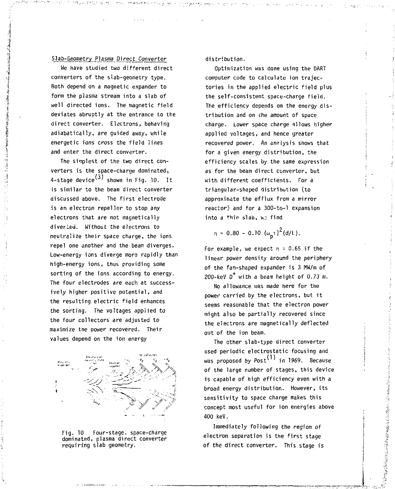## Slab-Geometry Plasma Direct Converter

We have studied two different direct converters of the slab-geometry type. Both depend on a magnetic expander to form the plasma stream into a slab of well directed ions. The magnetic field deviates abruptly at the entrance to the direct converter. Electrons, behaving adiabatically, are guided away, while energetic ions cross the field lines and enter the direct converter.

The simplest of the two direct converters is the space-charge dominated, 4-stage device $(3)$  shown in Fig. 10. It is similar to the beam direct converter discussed above. The first electrode is an electron repeller to stop any electrons that are not magnetically diverted. Without the electrons to neutralize their space charge, the ions repel one another and the beam diverges. Low-energy ions diverge more rapidly than high-energy ions, thus providing some sorting of the ions according to energy. The four electrodes are each at successively higher positive potential, and the resulting electric field enhances the sorting. The voltages applied to the four collectors are adjusted to maximize the power recovered. Their values depend on the ion energy



Fig. 10 Four-stage, space-charge dominated, plasma direct converter requiring slab geometry.

distribution.

Optimization was done using the DART computer code to calculate ion trajectories in the applied electric field plus the self-consistent space-charge field. The efficiency depends on the energy distribution and on che amount of space charge. Lower space charge allows higher applied voltages, and hence greater recovered power. An ansiysis shows that for a given energy distribution, the efficiency scales by the same expression as for the beam direct converter, but with different coefficients. For a triangular-shaped distribution (to approximate the efflux from a mirror reactor) and for a 300-to-l expansion into a thin slab, wo find

$$
\eta = 0.80 - 0.10 \, (\omega_n \tau)^2 (d/L).
$$

For example, we expect  $n \approx 0.65$  if the linear power density around the periphery of the fan-shaped expander is 3 MW/m of 200-keV  $0^+$  with a beam height of 0.73 m.

No allowance was made here for the power carried by the electrons, but it seems reasonable that the electron power might also be partially recovered since the electrons are magnetically deflected out of the ion beam.

The other slab-type direct converter used periodic electrostatic focusing and was proposed by  $Post<sup>(1)</sup>$  in 1969. Because of the large number of stages, this device is capable of high efficiency even with a broad energy distribution. However, its sensitivity to space charge makes this concept most useful for ion energies above 400 keV.

Immediately following the region of electron separation is the first stage of the direct converter. This stage is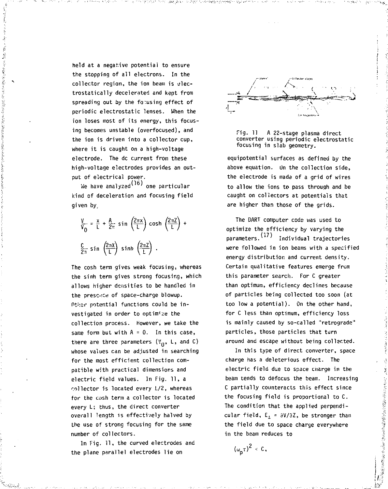**held at a negative potential to ensure the stopping of all electrons. In the collector region, the ion beam is electrostatically decelerated and kept from spreading out by the focusing effect of periodic electrostatic lenses. When the ion loses most of its energy, this focusing becomes unstable (overfocused), and the ion is driven into a collector cup, where it is caught on a high-voltage electrode. The dc current from these high-voltage electrodes provides an output of electrical power.** 

**Controlled the Second Second Second Second Second Second Second Second Second Second** 

**We have analyzed^ ' one particular kind of deceleration and focusing field given by,** 

$$
\frac{v}{v_0} = \frac{x}{L} + \frac{A}{2\pi} \sin\left(\frac{2\pi x}{L}\right) \cosh\left(\frac{2\pi Z}{L}\right) +
$$
\n
$$
\frac{C}{2\pi} \sin\left(\frac{2\pi x}{L}\right) \sinh\left(\frac{2\pi Z}{L}\right) .
$$

**The cosh term gives weak focusing, whereas the sinh term gives strong focusing, which allows higher densities to be handled in the presence of space-charge blowup. nti;3r potential functions could be investigated in order to optimise the collection process. However, we take the same form but with A = 0. In this case,**  there are three parameters  $(V_0, L,$  and  $C)$ **whose values can be adjusted in searching for the most efficient collection compatible with practical dimensions and electric field values. In Fig. 11, a collector is located** *every* **L/2, whereas for the cosh term a collector is located every L; thus, the direct converter overall length is effectively halved by the use of strong focusing for the same number of collectors.** 

**In Fig. 11, the curved electrodes and the plane parallel electrodes lie on** 





**equipotential surfaces as defined by the above equation. Un the collection side, the electrode is made of a grid of wires to allow the ions to pass through and be caught on collectors at potentials that are higher than those of the grids.** 

**The DART computer code was used to optimize the efficiency by varying the parameters. Individual trajectories were followed in ion beams with a specified energy distribution and current density. Certain qualitative features emerge from this parameter search. For C greater than optimum, efficiency declines because of particles being collected too soon (at too low a potential). On the other hand, for C less than optimum, efficiency loss is mainly caused by so-called "retrograde" particles, those particles that turn around and escape without being collected.** 

**In this type of direct converter, space charge has a deleterious effect. The electric field due to space ciiarge in the beam tends to defccus the beam. Increasing C partially counteracts this effect since the focusing field is proportional to C. The condition that the applied perpendicular field, E <sup>i</sup> = 3V/3Z, be stronger than the field due to space charge everywhere in the beam reduces to** 

 $(\omega_{n} \tau)^{2}$  < **c**,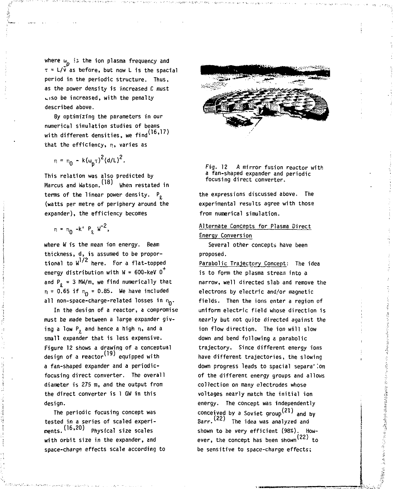**where** *u* **ii the ion plasma frequency and T = L/v as before, but now L is the spacial period in the periodic structure. Thus, as the power density is increased C must •.iso be increased, with the penalty described above.** 

**By optimizing the parameters in our numerical simulation studies of beams**  with different densities, we find<sup>(16,17)</sup> **that the efficiency, n, varies as** 

$$
n = n_0 - k(\omega_p \tau)^2 (d/L)^2.
$$

**This relation was also predicted by Marcus and Watson.** (18) When restated in **terms of the linear power density. P, (watts per metre of periphery around the expander), the efficiency becomes** 

$$
n = n_0 - k' P_x W^{-2},
$$

**where W is the mean ion energy. Beam thickness, d, is assumed to be propor**tional to W<sup>1/2</sup> here. For a flat-topped **energy distribution with W = 600-keV D**  and  $P_0 = 3$  MW/m, we find numerically that  $n = 0.65$  if  $n<sub>0</sub> = 0.85$ . We have included **all non-space-charge-related losses in** *r,..* 

**In the design of a reactor, a compromise must be made between a large expander giv**ing a low P<sub>o</sub> and hence a high n, and a **small expander that is less expensive. Figure 12 shows a drawinq of a conceptual**  design of a reactor<sup>(19)</sup> equipped with **a fan-shaped expander and a periodicfocusing direct converter. The overall diameter is 275 m, and the output from the direct converter is 1 GW in this design.** 

**The periodic focusing concept was tested in a series of scaled experiments.'1 6 , ' Physical size scales with orbit size in the expander, and space-charge effects scale according to** 



**Fig. 12 A mirror fusion reactor with a fan-shaped expander and periodic focusing direct converter.** 

**the expressions discussed above. The experimental results agree with those from numerical simulation.** 

# **Alternate Concepts for Plasma Direct Energy Conversion**

**Several other concepts have been proposed.** 

**Parabolic Trajectory Concept: The idea is to form the plasma stream into a narrow, well directed slab and remove the electrons by electric and/or magnetic fields. Then the ions enter a region of uniform electric field whose direction is nearly but not quite directed against the ion flow direction. The ion will slow down and bend following a parabolic trajectory. Since different energy ions have different trajectories, the slowing down progress leads to spacial separa'ion of the different energy groups and allows collection on many electrodes whose voltages nearly match the initial ion energy. The concept was independently**  conceived by a Soviet group<sup>(21)</sup> and by Barr. (22) The idea was analyzed and **shown to be very efficient** *(98%).* **How** ever, the concept has been shown<sup>(22)</sup> to **be sensitive to space-charge effects;**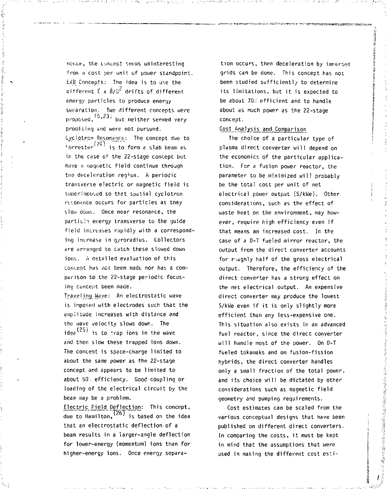nerice, the concept seems uninteresting from a cost per unit of power standpoint. EXB Concepts: The idea is to use the different  $E \times B/B^2$  drifts of different energy particles to produce energy separation. Two different concepts were  $p$ roposed,  $(5, 23)$  but neither seemed very promising and were not pursued. Cj/clotrcn Resonance: The concept due to  $\frac{\epsilon_{\text{correcter}}(24)}{\epsilon_{\text{first}}}$  is to form a slab beam as in the case of the 22-stage concept but have a magnetic field continue through the deceleration region. A periodic transverse electric or magnetic field is superimposed so that spatial cyclotron resonance occurs for particles as they slow down. Once near resonance, the particle energy transverse to the guide field increases rapidly with a corresponding increase in gyroradius. Collectors *dre* arranged to catch these slowed down ions. A netailed evaluation of this coiv-ept has net been made nor has a comparison to the 22-stage periodic focusing cuncept been made.

Traveling Wave: An electrostatic wave is inposed with electrodes such that the amplitude increases with distance and the wave velocity slows down. The  $idea<sup>(25)</sup>$  is to trap ions in the wave and then slow these trapped ions down. The concept is space-charge limited to about the same power as the 22-stage concept and appears to be limited to about 50'. efficiency. Good coupling or loading of the electrical circuit by the beam may be a problem.

Electric Field Deflection: This concept, due to Hamilton,`¯ 'is based on the idea that an electrostatic deflection of a beam results in a larger-angle deflection for lower-energy (momentum) ions than for higher-energy ions. Once energy separa-

tion occurs, then deceleration by impersed grids can be done. This concept has not been studied sufficiently to determine its limitations, but it is expected to be about 70% efficient and to handle about as much power as the 22-stage concept.

#### Cost Anajysis and Comparison

The choice of a particular type of plasma direct converter will depend on the economics of the particular application. For a fusion power reactor, the parameter to be minimized will probably be the total cost per unit of net electrical power output (S/kWe). Other considerations, such as the effect of waste heat on the environment, may however, require high efficiency even if that means an increased cost. In the case of a D-T fueled mirror reactor, the output from the direct converter accounts for r,ughly half of the gross electrical output. Therefore, the efficiency of the direct converter has a strong effect on the net electrical output. An expensive direct converter may produce the lowest S/kWe even if it is only slightly more efficient than any less-expensive one. This situation also exists in an advanced fuel reactor, since the direct converter will handle most of the power. On D-T fueled tokamaks and on fusion-fission hybrids, the direct converter handles only a small fraction of the total power, and its choice will be dictated by other considerations such as magnetic field geometry and pumping requirements.

Cost estimates can be scaled from the various conceptual designs that have been published on different direct converters. In comparing the costs, it must be kept in mind that the assumptions that were used in making the different cost esti-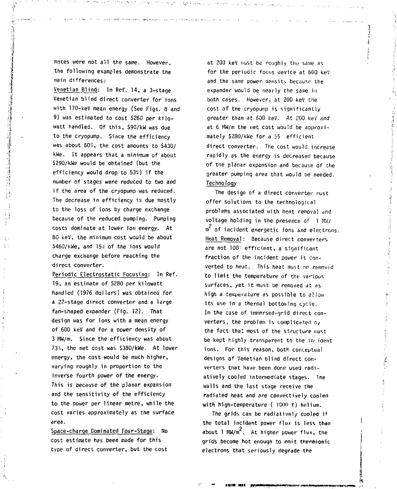**mates were not all the same. However, the following examples demonstrate the main differences:** 

**Venetian Blind: In Ref. 14, a 3-stage Venetian blind direct converter for ions with 170-keV mean energy (See Figs. 8 and 9) was estimated to cost S260 per kilowatt handled. Of this, \$90/kW was due to the cryopump. Since the efficiency was about 603;, the cost amounts to S430/ kWe. It appears that a minimum of about S290/kWe would be obtained (but the efficiency would drop to 53%) if the number of stages were reduced to two and if the area of the cryopump was reduced. The decrease in efficiency is due mostly to the loss of ions by charge exchange because of the reduced pumping. Pumping costs dominate at lower ion energy. At 80 keV, the minimum cost would be about S460/kWe, and 154 of the ions would charge exchange before reaching the direct converter.** 

**Periodic Electrostatic Focusing: In Ref. 19, an estimate of S280 per kilowatt handled (1976 dollars) was obtained for a 22-stage direct converter and a large fan-shaped expander (Fig. 12). That design was for ions with a mean energy of 600 keV and for a power density of 3 MW/m. Since the efficiency was about 73%, the net cost was S380/kWe. At lower energy, the cost would be much higher, varying roughly in proportion to the inverse fourth power of the energy. This is because of the planar expansion and the sensitivity of the efficiency to the power per linear metre, while the cost varies approximately as the surface area.** 

**Space-charge Dominated Four-Stage: No cost estimate has been made for this type of direct converter, but the cost** 

**at 200 keV must be roughly the same as for the periodic focus oevice at 600 keV and the same power density because the expander would be nearly the same in both cases. However, at 200 keV the cost of the cryopump is significantly greater than at 600 keV. At 200 keV and at 6 MW/m the net cost would be approximately S280/kWe for a 55 efficient direct converter. The cost would increase rapidly as the energy is decreased because of the planar expansion and because of the greater pumping area that would be needed. Technology** 

**The design of a direct converter must offer solutions to the technological problems associated with heat removal and voltage holding in the presence of 1 MW/**  *<sup>2</sup>m* **of incident energetic ions and electrons. Heat Removal: Because direct converters are not 100" efficient, a significant fraction of the incident power is converted to heat. This heat must ne removed to limit the temperature of the various surfaces, yet it must be removed at as high a teoiperature as possible to allow its use in a thermal bottoming cycle. In the case of immersed-grid direct converters, the problem is complicated h/ the fact that most of the structure must be kept highly transparent to the in- ident ions. For this reason, both conceptual designs of Venetian blind direct converters that have been done used radiatively cooled intermediate stages. Ihe walls and the last stage receive the radiated heat and** *dre* **convectively cooled**  with high-temperature ( 1000 K) helium.

**The grids can be radiative!/ cooled if the total incident power flux is less than 2 about 1 MW/m . At higher power flux, the grids become hot enough to emit thermionic electrons that seriously degrade the**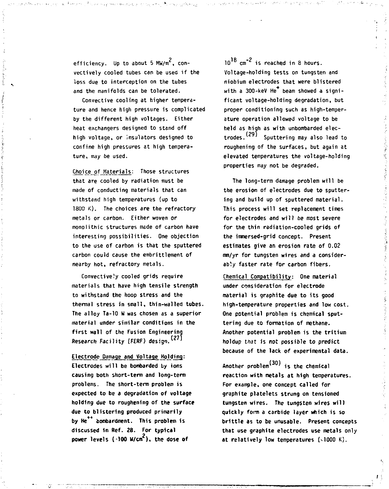efficiency. Up to about 5 MW/m<sup>2</sup>, con**vectively cooled tubes can be used if the loss due to interception on the tubes and the manifolds can be tolerated.** 

**Convective cooling at higher temperature and hence high pressure is complicated by the different high voltages. Either heat exchangers designed to stand off high voltage, or insulators designed to confine high pressures at high temperature, may be used.** 

**Choice of Materials: Those structures that are cooled by radiation must be made of conducting materials that can withstand high temperatures (up to 1800 K). The choices are the refractory metals or carbon. Either woven or monolithic structures made of carbon have interesting possibilities. One objection to the use of carbon is that the sputtered carbon could cause the embrittlement of nearby hot, refractory metals.** 

**Convectively cooled grids require materials that have high tensile strength to withstand the hoop stress and the thermal stress in small, thin-walled tubes. The alloy Ta-10 W was chosen as a superior material under similar conditions in the first wall of the Fusion Engineering Research Facility (FERF) design.'<sup>2</sup> '** 

**Electrode Damage and Voltaqe Holding: Electrodes will be bombarded by ions causing both short-term and long-term problems. The short-term problem is expected to be a degradation of voltage holding due to roughening of the surface due to blistering produced primarily**  by He<sup>\*\*</sup> bombardment. This problem is discussed in Ref. 28. For typical **power levels (-100 W/cn ), the dose of** 

**10 cm" is reached in 8 hours. Voltage-holding tests on tungsten and niobium electrodes that were blistered**  with a 300-keV He<sup>+</sup> beam showed a signi**ficant voltage-holding degradation, but proper conditioning such as high-temperature operation allowed voltage to be held as high as with unbombarded elec- (29) trodes. Sputtering may also lead to roughening of the surfaces, but again at elevated temperatures the voltage-holding properties may not be degraded.** 

**The long-term damage problem will be the erosion of electrodes due to sputtering and build up of sputtered material. This process will set replacement times for electrodes and will be most severe for the thin radiation-cooled grids of the immersed-grid concept. Present estimates give an erosion rate of 0.02 mm/yr for tungsten wires and a considerably faster rate for carbon fibers.** 

**Chemical Compatibility: One material under consideration for electrode material is graphite due to its good high-temperature properties and low cost. One potential problem is chemical sputtering due to formation of methane. Another potential problem is the tritium holdup that is not possible to predict because of the lack of experimental data.** 

Another problem<sup>(30)</sup> is the chemical **reaction with metals at high temperatures. For example, one concept called for graphite platelets strung on tensioned tungsten wires. The tungsten wires will quickly form a carbide layer which is so brittle as to be unusable. Present concepts that use graphite electrodes use metals only**  at relatively low temperatures (<1000 K).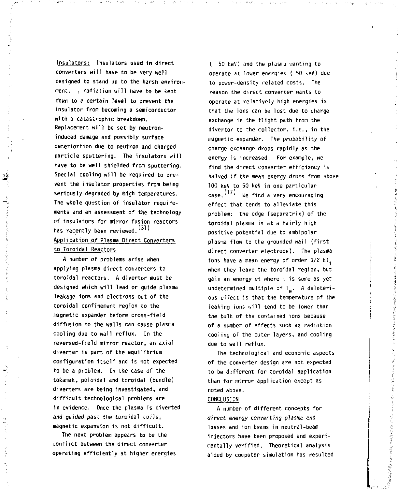Insulators: Insulators used in direct converters wi11 have to be very wel1 designed to stand up to the harsh environment. , radiation will have to be kept down to a certain level to prevent **the**  insulator from becoming a semiconductor with a catastrophic breakdown. Replacement will be set by neutroninduced damage and possibly surface deteriortion due to neutron and charged particle sputtering. The insulators will have to be well shielded from sputtering. Special cooling will be required to prevent the insulator properties from being seriously degraded by high temperatures. The whole question of insulator requirements and an assessment of the technology of insulators for mirror fusion reactors has recently been reviewed.<sup>(31)</sup> Application of Plasma Direct Converters

В

# to Toroidal Reactors

A number of problems arise when applying plasma direct converters to toroidal reactors. A divertor must be designed which will lead or guide plasma leakage ions and electrons out of the toroidal confinement region to the magnetic expander before cross-field diffusion to the walls can cause plasma cooling due to wall reflux. In the reversed-field mirror reactor, an axial diverter is part of the equilibrium configuration itself and is not expected to be a problem. In the case of the tokamak, poloidal and toroidal (bundle) diverters are being investigated, and difficult technological problems are in evidence. Once the plasma is diverted and guided past the toroidal coils, magnetic expansion is not difficult.

The next problem appears to be the conflict between the direct converter operating efficiently at higher energies

I 50 keV) and the plasma wanting to operate at lower energies ( 50 keV) due to power-density related costs. The reason the direct converter wants to operate at relatively high energies is that the ions can be lost due to charge exchange in the flight path from the divertor to the collector, i.e., in the magnetic expander. The probability of charge exchange drops rapidly as the energy is increased. For example, we find the direct converter efficiency is halved if the mean energy drops from above 100 keV to 50 keV in one particular case.  $(17)$  We find a very encouraging effect that tends to alleviate this problem: the edge (separatrix) of the toroidal plasma is at a fairly high positive potential due to ambipolar plasma flow to the grounded wall (first direct converter electrode). The plasma ions have a mean energy of order 3/2 kT. when they leave the toroidal region, but  $\alpha$ ain an energy et where  $\alpha$  is some as yet undetermined multiple of  $T_{\alpha}$ . A deleterious effect is that the temperature of the leaking ions will tend to be lower than the bulk of the contained ions because of a number of effects such as radiation cooling of the outer layers, and cooling due to wall reflux.

The technological and economic aspects of the converter design are not expected to be different for toroidal application than for mirror application except as noted above.

医前列腺 建美国国际产品等于医学的工作

こくちょう 海底海岸 高原の音楽を示す あきんゆう ソル

# CONCLUSION

A number of different concepts for direct energy converting plasma end losses and ion beams in neutral-beam injectors have been proposed and experimentally verified. Theoretical analysis aided by computer simulation has resulted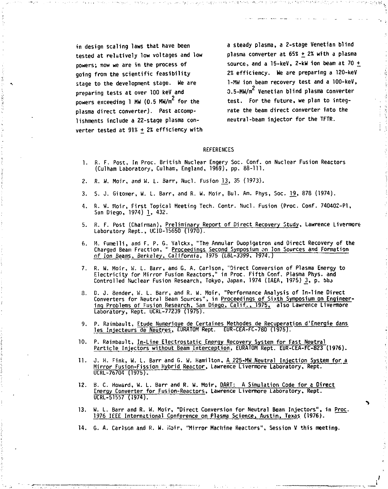**in design scaling laws that have been tested at relatively low voltages and low powers; now we are in the process of going from the scientific feasibility stage to the development stage. We are preparing tests at over 100 keV and powers exceeding 1 MW (0.5 MW/m for the plasma direct converter). Past accomplishments include a 22-stage plasma converter tested at 91% +** *2%* **efficiency with**  **a steady plasma, a 2-stage Venetian blind plasma converter at 65\* +** *2%* **with a plasma source, and a 15-keV, 2-kW ion beam at 70 + 2% efficiency. We are preparing a 120-keV 1-MW ion beam recovery test and a 100-keV, 2 0.5-MW/m Venetian blind plasma converter test. For the future, we plan to integrate the beam direct converter into the neutral-beam injector for the TFTR.** 

#### **REFERENCES**

- **1. R. F. Post, In Proc. British Nuclear Engery Soc. Conf. on Nuclear Fusion Reactors (Culham Laboratory, Culham, England, 1969), pp. 88-111.**
- **2. R. W. Moir, and W. L. Barr, Nucl. Fusion 13, 35 (1973).**
- **3. S. J. Gitomer, W. L. Barr, and R. W. Moir, Bui. Am. Phys, 5oc. 19, 878 (1974).**
- **4. R. M. Moir, First Topical Meeting Tech. Contr. Nucl. Fusion (Proc. Conf. 740402-P1, San Diego, 1974) 1, 432.**
- **5. R. F. Post (Chairman), Preliminary Report of Direct Recovery Study, Lawrence Livermort Laboratory Rept., UCID-15650 (1970).**
- **6. M. Fumelli, and F. P. G. Valckx, "The Annular Duopigatron and Direct Recovery of the Charged Beam Fraction, " Proceedings Second Symposium on Ion Sources and Formation of Ion Beams, Berkeley, California, 1975 (LBL-3399, 1974.)**
- **7. R. W. Moir, W. L. Barr, and G. A. Carlson, "Direct Conversion of Plasma Energy to Electricity for Mirror Fusion Reactors," in Proc. Fifth Conf. Plasma Phys. and Controlled Nuclear Fusion Research, Tokyo, Japan, 1974 (IAEA, 1975) \_3, P- M M**
- **8. D. J. Bender, W. L. Barr, and R. W. Moir, "Performance Analysis of In-line Direct Converters for Neutral Beam Sources", in Proceedings of Sixth Symposium on Engineering Problems of Fusion Research, San Diego, Calif., 1975, also Lawrence Livermore**  Laboratory, Rept. UCRL-77239 (1975).
- **9. P. Raimbault, Etude Numerique de Certaines Methodes de Recuperation d'Enerqie dans les Injecteurs'de Neutres, LURATOM Rept. EUR-CEA-FC-780 (1975).**
- **10. P. Raimbault, In-Line Electrostatic Energy Recovery System for Fast Neutral Particle Injectors without Beam Interception, EURAT0M Rept. EUR-CEA-FC-823 (1976).**
- **11. J. H. Fink, W. L. Barr and G. W. Hamilton, A 225-MH Neutral In.iection System for a Mirror Fusion-Fission Hybrid Reactor, Lawrence Livermore Laboratory, Rept. UCRL-76704 (1975).**
- **12. B. C. Hoviard, W. L. Barr and R. w. Moir, DART: A Simulation Code for a Oirect Energy Converter for Fusion-Reactors, Lawrence Livermore Laboratory, Rept. UCRL-51557 (1974).**
- 1976 IEEE International Conference on Plasma Science, Austin. Texas (1976).
- **14. G. A. Carlson and R. W. Moir, "Mirror Machine Reactors", Session V this meeting.**